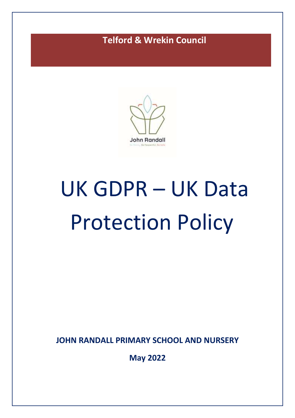## **Telford & Wrekin Council**



# UK GDPR – UK Data Protection Policy

**JOHN RANDALL PRIMARY SCHOOL AND NURSERY**

**May 2022**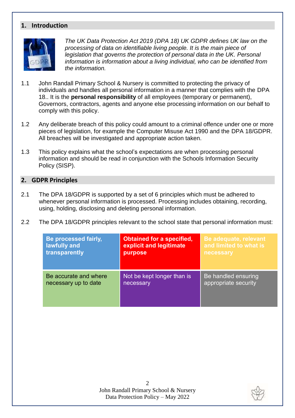#### **1. Introduction**



*The UK Data Protection Act 2019 (DPA 18) UK GDPR defines UK law on the processing of data on identifiable living people. It is the main piece of legislation that governs the protection of personal data in the UK. Personal information is information about a living individual, who can be identified from the information.* 

- 1.1 John Randall Primary School & Nursery is committed to protecting the privacy of individuals and handles all personal information in a manner that complies with the DPA 18.. It is the **personal responsibility** of all employees (temporary or permanent), Governors, contractors, agents and anyone else processing information on our behalf to comply with this policy.
- 1.2 Any deliberate breach of this policy could amount to a criminal offence under one or more pieces of legislation, for example the Computer Misuse Act 1990 and the DPA 18/GDPR. All breaches will be investigated and appropriate action taken.
- 1.3 This policy explains what the school's expectations are when processing personal information and should be read in conjunction with the Schools Information Security Policy (SISP).

#### **2. GDPR Principles**

- 2.1 The DPA 18/GDPR is supported by a set of 6 principles which must be adhered to whenever personal information is processed. Processing includes obtaining, recording, using, holding, disclosing and deleting personal information.
- 2.2 The DPA 18/GDPR principles relevant to the school state that personal information must:

| Be processed fairly,  | <b>Obtained for a specified,</b> | Be adequate, relevant      |
|-----------------------|----------------------------------|----------------------------|
| lawfully and          | explicit and legitimate          | and limited to what is     |
| transparently         | purpose                          | necessary                  |
| Be accurate and where | Not be kept longer than is       | <b>Be handled ensuring</b> |
| necessary up to date  | necessary                        | appropriate security       |

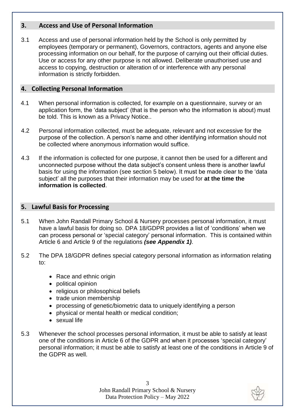#### **3. Access and Use of Personal Information**

3.1 Access and use of personal information held by the School is only permitted by employees (temporary or permanent), Governors, contractors, agents and anyone else processing information on our behalf, for the purpose of carrying out their official duties. Use or access for any other purpose is not allowed. Deliberate unauthorised use and access to copying, destruction or alteration of or interference with any personal information is strictly forbidden.

#### **4. Collecting Personal Information**

- 4.1 When personal information is collected, for example on a questionnaire, survey or an application form, the 'data subject' (that is the person who the information is about) must be told. This is known as a Privacy Notice..
- 4.2 Personal information collected, must be adequate, relevant and not excessive for the purpose of the collection. A person's name and other identifying information should not be collected where anonymous information would suffice.
- 4.3 If the information is collected for one purpose, it cannot then be used for a different and unconnected purpose without the data subject's consent unless there is another lawful basis for using the information (see section 5 below). It must be made clear to the 'data subject' all the purposes that their information may be used for **at the time the information is collected**.

#### **5. Lawful Basis for Processing**

- 5.1 When John Randall Primary School & Nursery processes personal information, it must have a lawful basis for doing so. DPA 18/GDPR provides a list of 'conditions' when we can process personal or 'special category' personal information. This is contained within Article 6 and Article 9 of the regulations *(see Appendix 1)*.
- 5.2 The DPA 18/GDPR defines special category personal information as information relating to:
	- Race and ethnic origin
	- political opinion
	- religious or philosophical beliefs
	- trade union membership
	- processing of genetic/biometric data to uniquely identifying a person
	- physical or mental health or medical condition;
	- sexual life
- 5.3 Whenever the school processes personal information, it must be able to satisfy at least one of the conditions in Article 6 of the GDPR and when it processes 'special category' personal information; it must be able to satisfy at least one of the conditions in Article 9 of the GDPR as well.

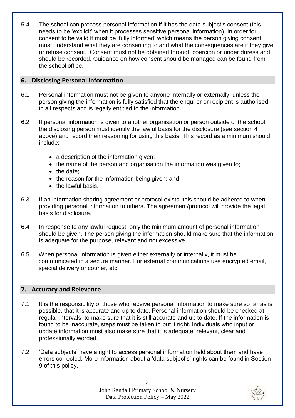5.4 The school can process personal information if it has the data subject's consent (this needs to be 'explicit' when it processes sensitive personal information). In order for consent to be valid it must be 'fully informed' which means the person giving consent must understand what they are consenting to and what the consequences are if they give or refuse consent. Consent must not be obtained through coercion or under duress and should be recorded. Guidance on how consent should be managed can be found from the school office.

#### **6. Disclosing Personal Information**

- 6.1 Personal information must not be given to anyone internally or externally, unless the person giving the information is fully satisfied that the enquirer or recipient is authorised in all respects and is legally entitled to the information.
- 6.2 If personal information is given to another organisation or person outside of the school, the disclosing person must identify the lawful basis for the disclosure (see section 4 above) and record their reasoning for using this basis. This record as a minimum should include;
	- a description of the information given;
	- the name of the person and organisation the information was given to:
	- $\bullet$  the date:
	- the reason for the information being given; and
	- $\bullet$  the lawful basis.
- 6.3 If an information sharing agreement or protocol exists, this should be adhered to when providing personal information to others. The agreement/protocol will provide the legal basis for disclosure.
- 6.4 In response to any lawful request, only the minimum amount of personal information should be given. The person giving the information should make sure that the information is adequate for the purpose, relevant and not excessive.
- 6.5 When personal information is given either externally or internally, it must be communicated in a secure manner. For external communications use encrypted email, special delivery or courier, etc.

#### **7. Accuracy and Relevance**

- 7.1 It is the responsibility of those who receive personal information to make sure so far as is possible, that it is accurate and up to date. Personal information should be checked at regular intervals, to make sure that it is still accurate and up to date. If the information is found to be inaccurate, steps must be taken to put it right. Individuals who input or update information must also make sure that it is adequate, relevant, clear and professionally worded.
- 7.2 'Data subjects' have a right to access personal information held about them and have errors corrected. More information about a 'data subject's' rights can be found in Section 9 of this policy.

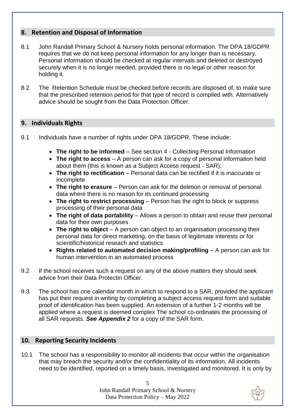#### **8. Retention and Disposal of Information**

- 8.1 John Randall Primary School & Nursery holds personal information. The DPA 18/GDPR requires that we do not keep personal information for any longer than is necessary. Personal information should be checked at regular intervals and deleted or destroyed securely when it is no longer needed, provided there is no legal or other reason for holding it.
- 8.2 The [Retention Schedule](http://cirs/) must be checked before records are disposed of, to make sure that the prescribed retention period for that type of record is complied with. Alternatively advice should be sought from the Data Protection Officer.

#### **9. Individuals Rights**

- 9.1 Individuals have a number of rights under DPA 18/GDPR. These include:
	- **The right to be informed** See section 4 Collecting Personal Information
	- **The right to access** A person can ask for a copy of personal information held about them (this is known as a Subject Access request - SAR);
	- **The right to rectification** Personal data can be rectified if it is inaccurate or incomplete
	- **The right to erasure** Person can ask for the deletion or removal of personal data where there is no reason for its continued processing
	- **The right to restrict processing** Person has the right to block or suppress processing of their personal data
	- The right of data portability Allows a person to obtain and reuse their personal data for their own purposes
	- **The right to object**  A person can object to an organisation processing their personal data for direct marketing, on the basis of legitimate interests or for scientific/historical reseach and statistics
	- **Rights related to automated decision making/profiling** A person can ask for human intervention in an automated process
- 9.2 If the school receives such a request on any of the above matters they should seek advice from their Data Protectin Officer.
- 9.3 The school has one calendar month in which to respond to a SAR, provided the applicant has put their request in writing by completing a subject access request form and suitable proof of identification has been supplied. An extension of a further 1-2 months will be applied where a request is deemed complex The school co-ordinates the processing of all SAR requests. *See Appendix 2* for a copy of the SAR form.

#### **10. Reporting Security Incidents**

10.1 The school has a responsibility to monitor all incidents that occur within the organisation that may breach the security and/or the confidentiality of its information. All incidents need to be identified, reported on a timely basis, investigated and monitored. It is only by

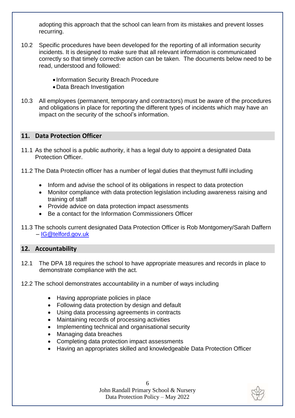adopting this approach that the school can learn from its mistakes and prevent losses recurring.

- 10.2 Specific procedures have been developed for the reporting of all information security incidents. It is designed to make sure that all relevant information is communicated correctly so that timely corrective action can be taken. The documents below need to be read, understood and followed:
	- Information Security Breach Procedure
	- Data Breach Investigation
- 10.3 All employees (permanent, temporary and contractors) must be aware of the procedures and obligations in place for reporting the different types of incidents which may have an impact on the security of the school's information.

#### **11. Data Protection Officer**

- 11.1 As the school is a public authority, it has a legal duty to appoint a designated Data Protection Officer.
- 11.2 The Data Protectin officer has a number of legal duties that theymust fulfil including
	- Inform and advise the school of its obligations in respect to data protection
	- Monitor compliance with data protection legislation including awareness raising and training of staff
	- Provide advice on data protection impact asessments
	- Be a contact for the Information Commissioners Officer
- 11.3 The schools current designated Data Protection Officer is Rob Montgomery/Sarah Daffern – [IG@telford.gov.uk](mailto:IG@telford.gov.uk)

#### **12. Accountability**

- 12.1 The DPA 18 requires the school to have appropriate measures and records in place to demonstrate compliance with the act.
- 12.2 The school demonstrates accountability in a number of ways including
	- Having appropriate policies in place
	- Following data protection by design and default
	- Using data processing agreements in contracts
	- Maintaining records of processing activities
	- Implementing technical and organisational security
	- Managing data breaches
	- Completing data protection impact assessments
	- Having an appropriates skilled and knowledgeable Data Protection Officer

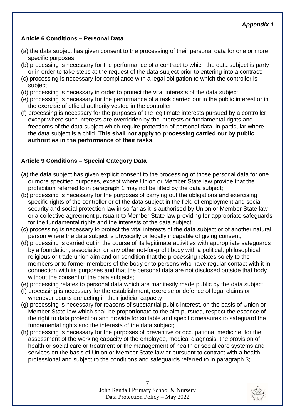#### **Article 6 Conditions – Personal Data**

- (a) the data subject has given consent to the processing of their personal data for one or more specific purposes;
- (b) processing is necessary for the performance of a contract to which the data subject is party or in order to take steps at the request of the data subject prior to entering into a contract;
- (c) processing is necessary for compliance with a legal obligation to which the controller is subject;
- (d) processing is necessary in order to protect the vital interests of the data subject;
- (e) processing is necessary for the performance of a task carried out in the public interest or in the exercise of official authority vested in the controller;
- (f) processing is necessary for the purposes of the legitimate interests pursued by a controller, except where such interests are overridden by the interests or fundamental rights and freedoms of the data subject which require protection of personal data, in particular where the data subject is a child. **This shall not apply to processing carried out by public authorities in the performance of their tasks.**

#### **Article 9 Conditions – Special Category Data**

- (a) the data subject has given explicit consent to the processing of those personal data for one or more specified purposes, except where Union or Member State law provide that the prohibition referred to in paragraph 1 may not be lifted by the data subject;
- (b) processing is necessary for the purposes of carrying out the obligations and exercising specific rights of the controller or of the data subject in the field of employment and social security and social protection law in so far as it is authorised by Union or Member State law or a collective agreement pursuant to Member State law providing for appropriate safeguards for the fundamental rights and the interests of the data subject;
- (c) processing is necessary to protect the vital interests of the data subject or of another natural person where the data subject is physically or legally incapable of giving consent;
- (d) processing is carried out in the course of its legitimate activities with appropriate safeguards by a foundation, association or any other not-for-profit body with a political, philosophical, religious or trade union aim and on condition that the processing relates solely to the members or to former members of the body or to persons who have regular contact with it in connection with its purposes and that the personal data are not disclosed outside that body without the consent of the data subjects;
- (e) processing relates to personal data which are manifestly made public by the data subject;
- (f) processing is necessary for the establishment, exercise or defence of legal claims or whenever courts are acting in their judicial capacity;
- (g) processing is necessary for reasons of substantial public interest, on the basis of Union or Member State law which shall be proportionate to the aim pursued, respect the essence of the right to data protection and provide for suitable and specific measures to safeguard the fundamental rights and the interests of the data subject;
- (h) processing is necessary for the purposes of preventive or occupational medicine, for the assessment of the working capacity of the employee, medical diagnosis, the provision of health or social care or treatment or the management of health or social care systems and services on the basis of Union or Member State law or pursuant to contract with a health professional and subject to the conditions and safeguards referred to in paragraph 3;

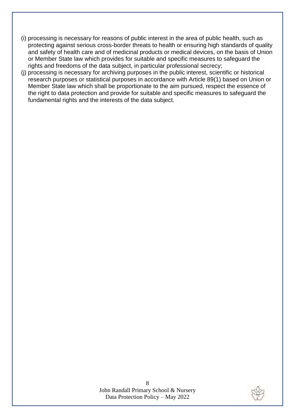- (i) processing is necessary for reasons of public interest in the area of public health, such as protecting against serious cross-border threats to health or ensuring high standards of quality and safety of health care and of medicinal products or medical devices, on the basis of Union or Member State law which provides for suitable and specific measures to safeguard the rights and freedoms of the data subject, in particular professional secrecy;
- (j) processing is necessary for archiving purposes in the public interest, scientific or historical research purposes or statistical purposes in accordance with Article 89(1) based on Union or Member State law which shall be proportionate to the aim pursued, respect the essence of the right to data protection and provide for suitable and specific measures to safeguard the fundamental rights and the interests of the data subject.

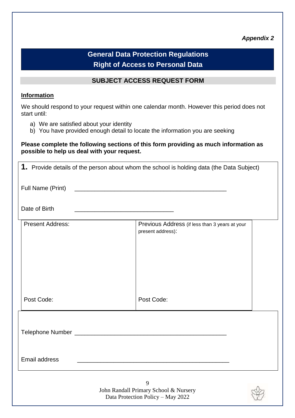#### *Appendix 2*

### **General Data Protection Regulations Right of Access to Personal Data**

#### **SUBJECT ACCESS REQUEST FORM**

#### **Information**

We should respond to your request within one calendar month. However this period does not start until:

- a) We are satisfied about your identity
- b) You have provided enough detail to locate the information you are seeking

#### **Please complete the following sections of this form providing as much information as possible to help us deal with your request.**

|                         | 1. Provide details of the person about whom the school is holding data (the Data Subject) |  |
|-------------------------|-------------------------------------------------------------------------------------------|--|
| Full Name (Print)       |                                                                                           |  |
| Date of Birth           |                                                                                           |  |
| <b>Present Address:</b> | Previous Address (if less than 3 years at your<br>present address):                       |  |
| Post Code:              | Post Code:                                                                                |  |
|                         |                                                                                           |  |
| <b>Email address</b>    | <u> 1989 - Johann John Stone, mars eta biztanleria (h. 1989).</u>                         |  |
|                         | 9<br>John Randall Primary School & Nursery<br>Data Protection Policy - May 2022           |  |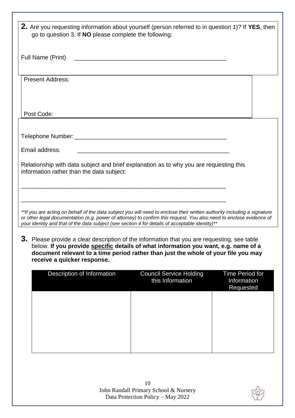| 2. Are you requesting information about yourself (person referred to in question 1)? If YES, then<br>go to question 3. If <b>NO</b> please complete the following:                                                                                                                                                                                 |  |  |  |  |
|----------------------------------------------------------------------------------------------------------------------------------------------------------------------------------------------------------------------------------------------------------------------------------------------------------------------------------------------------|--|--|--|--|
| Full Name (Print)                                                                                                                                                                                                                                                                                                                                  |  |  |  |  |
| <b>Present Address:</b>                                                                                                                                                                                                                                                                                                                            |  |  |  |  |
| Post Code:                                                                                                                                                                                                                                                                                                                                         |  |  |  |  |
|                                                                                                                                                                                                                                                                                                                                                    |  |  |  |  |
| Email address:                                                                                                                                                                                                                                                                                                                                     |  |  |  |  |
| Relationship with data subject and brief explanation as to why you are requesting this<br>information rather than the data subject:                                                                                                                                                                                                                |  |  |  |  |
|                                                                                                                                                                                                                                                                                                                                                    |  |  |  |  |
| **If you are acting on behalf of the data subject you will need to enclose their written authority including a signature<br>or other legal documentation (e.g. power of attorney) to confirm this request. You also need to enclose evidence of<br>your identity and that of the data subject (see section 4 for details of acceptable identity)** |  |  |  |  |
| 3. Please provide a clear description of the information that you are requesting, see table<br>below. If you provide specific details of what information you want, e.g. name of a<br>document relevant to a time period rather than just the whole of your file you may<br>receive a quicker response.                                            |  |  |  |  |
| Description of Information<br><b>Council Service Holding</b><br>Time Period for<br>this Information<br>Information<br>Requested                                                                                                                                                                                                                    |  |  |  |  |
|                                                                                                                                                                                                                                                                                                                                                    |  |  |  |  |
|                                                                                                                                                                                                                                                                                                                                                    |  |  |  |  |
|                                                                                                                                                                                                                                                                                                                                                    |  |  |  |  |

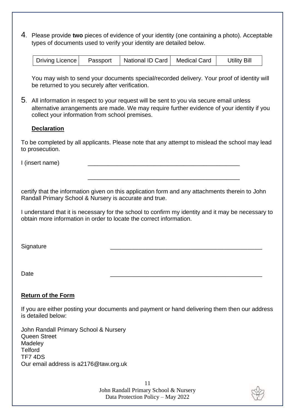4. Please provide **two** pieces of evidence of your identity (one containing a photo). Acceptable types of documents used to verify your identity are detailed below.

| Passport   National ID Card   Medical Card<br><b>Utility Bill</b><br>Driving Licence |
|--------------------------------------------------------------------------------------|
|--------------------------------------------------------------------------------------|

You may wish to send your documents special/recorded delivery. Your proof of identity will be returned to you securely after verification.

5. All information in respect to your request will be sent to you via secure email unless alternative arrangements are made. We may require further evidence of your identity if you collect your information from school premises.

#### **Declaration**

To be completed by all applicants. Please note that any attempt to mislead the school may lead to prosecution.

I (insert name)

certify that the information given on this application form and any attachments therein to John Randall Primary School & Nursery is accurate and true.

\_\_\_\_\_\_\_\_\_\_\_\_\_\_\_\_\_\_\_\_\_\_\_\_\_\_\_\_\_\_\_\_\_\_\_\_\_\_\_\_\_\_\_\_\_\_

I understand that it is necessary for the school to confirm my identity and it may be necessary to obtain more information in order to locate the correct information.

Signature \_\_\_\_\_\_\_\_\_\_\_\_\_\_\_\_\_\_\_\_\_\_\_\_\_\_\_\_\_\_\_\_\_\_\_\_\_\_\_\_\_\_\_\_\_\_

Date \_\_\_\_\_\_\_\_\_\_\_\_\_\_\_\_\_\_\_\_\_\_\_\_\_\_\_\_\_\_\_\_\_\_\_\_\_\_\_\_\_\_\_\_\_\_

#### **Return of the Form**

If you are either posting your documents and payment or hand delivering them then our address is detailed below:

John Randall Primary School & Nursery Queen Street Madeley Telford TF7 4DS Our email address is a2176@taw.org.uk